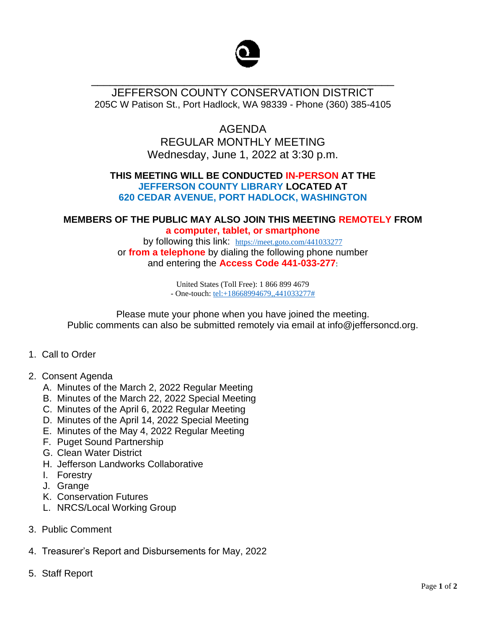

## JEFFERSON COUNTY CONSERVATION DISTRICT 205C W Patison St., Port Hadlock, WA 98339 - Phone (360) 385-4105

\_\_\_\_\_\_\_\_\_\_\_\_\_\_\_\_\_\_\_\_\_\_\_\_\_\_\_\_\_\_\_\_\_\_\_\_\_\_\_\_\_\_\_\_\_\_\_\_\_

# AGENDA REGULAR MONTHLY MEETING Wednesday, June 1, 2022 at 3:30 p.m.

### **THIS MEETING WILL BE CONDUCTED IN-PERSON AT THE JEFFERSON COUNTY LIBRARY LOCATED AT 620 CEDAR AVENUE, PORT HADLOCK, WASHINGTON**

#### **MEMBERS OF THE PUBLIC MAY ALSO JOIN THIS MEETING REMOTELY FROM a computer, tablet, or smartphone**

by following this link: <https://meet.goto.com/441033277> or **from a telephone** by dialing the following phone number and entering the **Access Code 441-033-277**:

> United States (Toll Free): 1 866 899 4679 - One-touch[: tel:+18668994679,,441033277#](tel:+18668994679,,441033277)

Please mute your phone when you have joined the meeting. Public comments can also be submitted remotely via email at info@jeffersoncd.org.

- 1. Call to Order
- 2. Consent Agenda
	- A. Minutes of the March 2, 2022 Regular Meeting
	- B. Minutes of the March 22, 2022 Special Meeting
	- C. Minutes of the April 6, 2022 Regular Meeting
	- D. Minutes of the April 14, 2022 Special Meeting
	- E. Minutes of the May 4, 2022 Regular Meeting
	- F. Puget Sound Partnership
	- G. Clean Water District
	- H. Jefferson Landworks Collaborative
	- I. Forestry
	- J. Grange
	- K. Conservation Futures
	- L. NRCS/Local Working Group
- 3. Public Comment
- 4. Treasurer's Report and Disbursements for May, 2022
- 5. Staff Report